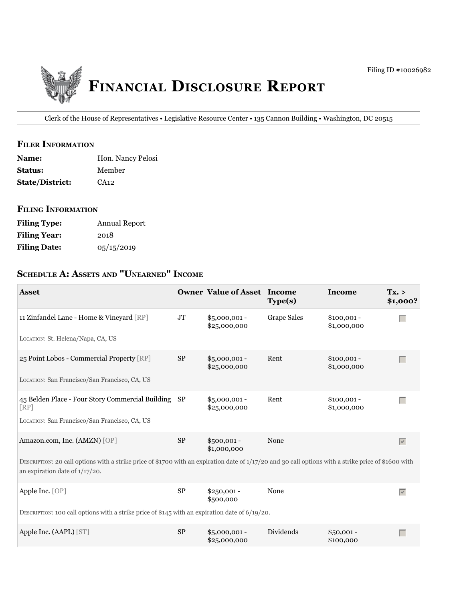

Clerk of the House of Representatives • Legislative Resource Center • 135 Cannon Building • Washington, DC 20515

#### **fiLer information**

| <b>Name:</b>           | Hon. Nancy Pelosi |
|------------------------|-------------------|
| <b>Status:</b>         | Member            |
| <b>State/District:</b> | CA12              |

#### **fiLing information**

| <b>Filing Type:</b> | Annual Report |
|---------------------|---------------|
| <b>Filing Year:</b> | 2018          |
| <b>Filing Date:</b> | 0.5/15/2019   |

# **ScHeDuLe a: aSSetS anD "unearneD" income**

| <b>Asset</b>                                                                                                                                                                              |           | <b>Owner Value of Asset Income</b> | Type(s)            | Income                      | Tx. ><br>\$1,000?               |
|-------------------------------------------------------------------------------------------------------------------------------------------------------------------------------------------|-----------|------------------------------------|--------------------|-----------------------------|---------------------------------|
| 11 Zinfandel Lane - Home & Vineyard [RP]                                                                                                                                                  | <b>JT</b> | $$5,000,001 -$<br>\$25,000,000     | <b>Grape Sales</b> | $$100,001 -$<br>\$1,000,000 | Г                               |
| LOCATION: St. Helena/Napa, CA, US                                                                                                                                                         |           |                                    |                    |                             |                                 |
| 25 Point Lobos - Commercial Property [RP]                                                                                                                                                 | $\rm SP$  | $$5,000,001 -$<br>\$25,000,000     | Rent               | $$100,001 -$<br>\$1,000,000 | $\Box$                          |
| LOCATION: San Francisco/San Francisco, CA, US                                                                                                                                             |           |                                    |                    |                             |                                 |
| 45 Belden Place - Four Story Commercial Building SP<br>[RP]                                                                                                                               |           | $$5,000,001 -$<br>\$2,5,000,000    | Rent               | $$100,001 -$<br>\$1,000,000 | Г                               |
| LOCATION: San Francisco/San Francisco, CA, US                                                                                                                                             |           |                                    |                    |                             |                                 |
| Amazon.com, Inc. (AMZN) [OP]                                                                                                                                                              | $\rm SP$  | $$500,001 -$<br>\$1,000,000        | None               |                             | $\overline{\vee}$               |
| DESCRIPTION: 20 call options with a strike price of \$1700 with an expiration date of 1/17/20 and 30 call options with a strike price of \$1600 with<br>an expiration date of $1/17/20$ . |           |                                    |                    |                             |                                 |
| Apple Inc. [OP]                                                                                                                                                                           | SP        | $$250,001 -$<br>\$500,000          | None               |                             | $\overline{\blacktriangledown}$ |
| DESCRIPTION: 100 call options with a strike price of \$145 with an expiration date of $6/19/20$ .                                                                                         |           |                                    |                    |                             |                                 |
| Apple Inc. (AAPL) [ST]                                                                                                                                                                    | <b>SP</b> | $$5,000,001 -$<br>\$25,000,000     | Dividends          | $$50,001 -$<br>\$100,000    | $\Box$                          |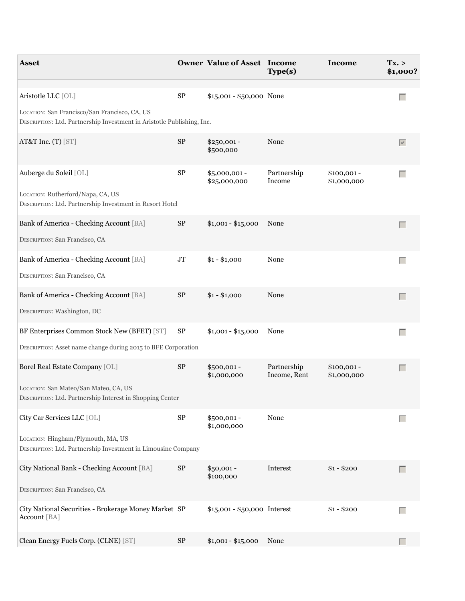| <b>Asset</b>                                                                                                            |            | <b>Owner Value of Asset Income</b> | Type(s)                     | Income                      | Tx. ><br>\$1,000? |
|-------------------------------------------------------------------------------------------------------------------------|------------|------------------------------------|-----------------------------|-----------------------------|-------------------|
| Aristotle LLC [OL]                                                                                                      | ${\rm SP}$ | \$15,001 - \$50,000 None           |                             |                             | Е                 |
| LOCATION: San Francisco/San Francisco, CA, US<br>DESCRIPTION: Ltd. Partnership Investment in Aristotle Publishing, Inc. |            |                                    |                             |                             |                   |
| AT&T Inc. (T) [ST]                                                                                                      | ${\rm SP}$ | $$250,001 -$<br>\$500,000          | None                        |                             | $\overline{\vee}$ |
| Auberge du Soleil [OL]                                                                                                  | ${\rm SP}$ | \$5,000,001 -<br>\$25,000,000      | Partnership<br>Income       | $$100,001 -$<br>\$1,000,000 | $\Box$            |
| LOCATION: Rutherford/Napa, CA, US<br>DESCRIPTION: Ltd. Partnership Investment in Resort Hotel                           |            |                                    |                             |                             |                   |
| Bank of America - Checking Account [BA]                                                                                 | ${\rm SP}$ | $$1,001 - $15,000$                 | None                        |                             | Г                 |
| DESCRIPTION: San Francisco, CA                                                                                          |            |                                    |                             |                             |                   |
| Bank of America - Checking Account [BA]                                                                                 | $\rm JT$   | $$1 - $1,000$                      | None                        |                             | $\Box$            |
| DESCRIPTION: San Francisco, CA                                                                                          |            |                                    |                             |                             |                   |
| Bank of America - Checking Account [BA]                                                                                 | ${\rm SP}$ | $$1 - $1,000$                      | None                        |                             | Г                 |
| DESCRIPTION: Washington, DC                                                                                             |            |                                    |                             |                             |                   |
| BF Enterprises Common Stock New (BFET) [ST]                                                                             | SP         | $$1,001 - $15,000$                 | None                        |                             | $\Box$            |
| DESCRIPTION: Asset name change during 2015 to BFE Corporation                                                           |            |                                    |                             |                             |                   |
| Borel Real Estate Company [OL]                                                                                          | $\rm SP$   | $$500,001 -$<br>\$1,000,000        | Partnership<br>Income, Rent | $$100,001 -$<br>\$1,000,000 | $\Box$            |
| LOCATION: San Mateo/San Mateo, CA, US<br>DESCRIPTION: Ltd. Partnership Interest in Shopping Center                      |            |                                    |                             |                             |                   |
| City Car Services LLC [OL]                                                                                              | ${\rm SP}$ | \$500,001 -<br>\$1,000,000         | None                        |                             | Г                 |
| LOCATION: Hingham/Plymouth, MA, US<br>DESCRIPTION: Ltd. Partnership Investment in Limousine Company                     |            |                                    |                             |                             |                   |
| City National Bank - Checking Account [BA]                                                                              | ${\rm SP}$ | $$50,001 -$<br>\$100,000           | Interest                    | $$1 - $200$                 | $\Box$            |
| DESCRIPTION: San Francisco, CA                                                                                          |            |                                    |                             |                             |                   |
| City National Securities - Brokerage Money Market SP<br>Account [BA]                                                    |            | \$15,001 - \$50,000 Interest       |                             | $$1 - $200$                 | П                 |
| Clean Energy Fuels Corp. (CLNE) [ST]                                                                                    | ${\rm SP}$ | $$1,001 - $15,000$                 | None                        |                             |                   |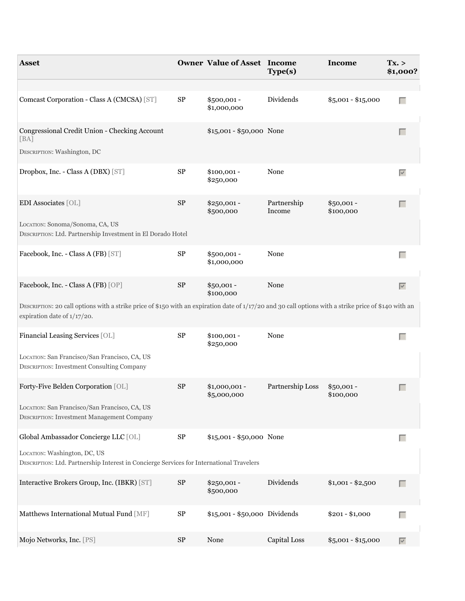| <b>Asset</b>                                                                                                                                                                         |            | <b>Owner Value of Asset Income</b> | Type(s)               | <b>Income</b>            | Tx. ><br>\$1,000? |
|--------------------------------------------------------------------------------------------------------------------------------------------------------------------------------------|------------|------------------------------------|-----------------------|--------------------------|-------------------|
|                                                                                                                                                                                      |            |                                    |                       |                          |                   |
| Comcast Corporation - Class A (CMCSA) [ST]                                                                                                                                           | SP         | \$500,001 -<br>\$1,000,000         | Dividends             | $$5,001 - $15,000$       | Г                 |
| Congressional Credit Union - Checking Account<br>[BA]                                                                                                                                |            | \$15,001 - \$50,000 None           |                       |                          | Г                 |
| DESCRIPTION: Washington, DC                                                                                                                                                          |            |                                    |                       |                          |                   |
| Dropbox, Inc. - Class A (DBX) [ST]                                                                                                                                                   | $\rm SP$   | $$100,001 -$<br>\$250,000          | None                  |                          | $\overline{\vee}$ |
| EDI Associates [OL]                                                                                                                                                                  | $\rm SP$   | $$250,001 -$<br>\$500,000          | Partnership<br>Income | $$50,001 -$<br>\$100,000 | $\Box$            |
| LOCATION: Sonoma/Sonoma, CA, US<br>DESCRIPTION: Ltd. Partnership Investment in El Dorado Hotel                                                                                       |            |                                    |                       |                          |                   |
| Facebook, Inc. - Class A (FB) [ST]                                                                                                                                                   | $\rm SP$   | $$500,001 -$<br>\$1,000,000        | None                  |                          | Г                 |
| Facebook, Inc. - Class A (FB) [OP]                                                                                                                                                   | $\rm SP$   | $$50,001 -$<br>\$100,000           | None                  |                          | $\overline{\vee}$ |
| DESCRIPTION: 20 call options with a strike price of \$150 with an expiration date of 1/17/20 and 30 call options with a strike price of \$140 with an<br>expiration date of 1/17/20. |            |                                    |                       |                          |                   |
| Financial Leasing Services [OL]                                                                                                                                                      | $\rm SP$   | $$100,001 -$<br>\$250,000          | None                  |                          | Г                 |
| LOCATION: San Francisco/San Francisco, CA, US<br><b>DESCRIPTION: Investment Consulting Company</b>                                                                                   |            |                                    |                       |                          |                   |
| Forty-Five Belden Corporation [OL]                                                                                                                                                   | ${\rm SP}$ | $$1,000,001 -$<br>\$5,000,000      | Partnership Loss      | $$50,001 -$<br>\$100,000 | Г                 |
| LOCATION: San Francisco/San Francisco, CA, US<br>DESCRIPTION: Investment Management Company                                                                                          |            |                                    |                       |                          |                   |
| Global Ambassador Concierge LLC [OL]                                                                                                                                                 | ${\rm SP}$ | \$15,001 - \$50,000 None           |                       |                          | Г                 |
| LOCATION: Washington, DC, US<br>DESCRIPTION: Ltd. Partnership Interest in Concierge Services for International Travelers                                                             |            |                                    |                       |                          |                   |
| Interactive Brokers Group, Inc. (IBKR) [ST]                                                                                                                                          | $\rm SP$   | $$250,001 -$<br>\$500,000          | Dividends             | $$1,001 - $2,500$        | П                 |
| Matthews International Mutual Fund [MF]                                                                                                                                              | $\rm SP$   | \$15,001 - \$50,000 Dividends      |                       | $$201 - $1,000$          | Г                 |
| Mojo Networks, Inc. [PS]                                                                                                                                                             | $\rm SP$   | None                               | Capital Loss          | $$5,001 - $15,000$       | $\overline{\vee}$ |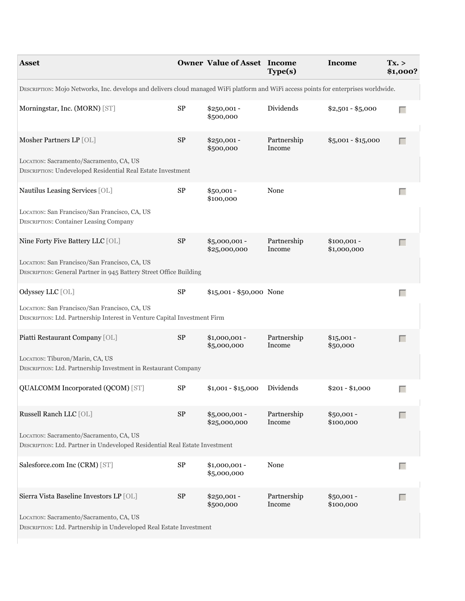| <b>Asset</b>                                                                                                                         |            | <b>Owner Value of Asset Income</b> | Type(s)               | Income                      | Tx. ><br>\$1,000? |
|--------------------------------------------------------------------------------------------------------------------------------------|------------|------------------------------------|-----------------------|-----------------------------|-------------------|
| DESCRIPTION: Mojo Networks, Inc. develops and delivers cloud managed WiFi platform and WiFi access points for enterprises worldwide. |            |                                    |                       |                             |                   |
| Morningstar, Inc. (MORN) [ST]                                                                                                        | ${\rm SP}$ | $$250,001 -$<br>\$500,000          | Dividends             | $$2,501 - $5,000$           | Г                 |
| Mosher Partners LP [OL]<br>LOCATION: Sacramento/Sacramento, CA, US                                                                   | $\rm SP$   | $$250,001 -$<br>\$500,000          | Partnership<br>Income | $$5,001 - $15,000$          | Г                 |
| DESCRIPTION: Undeveloped Residential Real Estate Investment                                                                          |            |                                    |                       |                             |                   |
| Nautilus Leasing Services [OL]                                                                                                       | ${\rm SP}$ | $$50,001 -$<br>\$100,000           | None                  |                             | $\Box$            |
| LOCATION: San Francisco/San Francisco, CA, US<br><b>DESCRIPTION: Container Leasing Company</b>                                       |            |                                    |                       |                             |                   |
| Nine Forty Five Battery LLC [OL]                                                                                                     | $\rm SP$   | \$5,000,001 -<br>\$25,000,000      | Partnership<br>Income | $$100,001 -$<br>\$1,000,000 | Г                 |
| LOCATION: San Francisco/San Francisco, CA, US<br>DESCRIPTION: General Partner in 945 Battery Street Office Building                  |            |                                    |                       |                             |                   |
| Odyssey LLC [OL]                                                                                                                     | SP         | \$15,001 - \$50,000 None           |                       |                             | $\Box$            |
| LOCATION: San Francisco/San Francisco, CA, US<br>DESCRIPTION: Ltd. Partnership Interest in Venture Capital Investment Firm           |            |                                    |                       |                             |                   |
| Piatti Restaurant Company [OL]                                                                                                       | $\rm SP$   | $$1,000,001 -$<br>\$5,000,000      | Partnership<br>Income | $$15,001 -$<br>\$50,000     | $\Box$            |
| LOCATION: Tiburon/Marin, CA, US<br>DESCRIPTION: Ltd. Partnership Investment in Restaurant Company                                    |            |                                    |                       |                             |                   |
| QUALCOMM Incorporated (QCOM) [ST]                                                                                                    | ${\rm SP}$ | $$1,001 - $15,000$                 | Dividends             | $$201 - $1,000$             | E                 |
| Russell Ranch LLC [OL]                                                                                                               | ${\rm SP}$ | $$5,000,001 -$<br>\$25,000,000     | Partnership<br>Income | $$50,001 -$<br>\$100,000    | Г                 |
| LOCATION: Sacramento/Sacramento, CA, US<br>DESCRIPTION: Ltd. Partner in Undeveloped Residential Real Estate Investment               |            |                                    |                       |                             |                   |
| Salesforce.com Inc (CRM) [ST]                                                                                                        | $\rm SP$   | $$1,000,001 -$<br>\$5,000,000      | None                  |                             | <b>College</b>    |
| Sierra Vista Baseline Investors LP [OL]                                                                                              | $\rm SP$   | $$250,001 -$<br>\$500,000          | Partnership<br>Income | $$50,001 -$<br>\$100,000    | Г                 |
| LOCATION: Sacramento/Sacramento, CA, US<br>DESCRIPTION: Ltd. Partnership in Undeveloped Real Estate Investment                       |            |                                    |                       |                             |                   |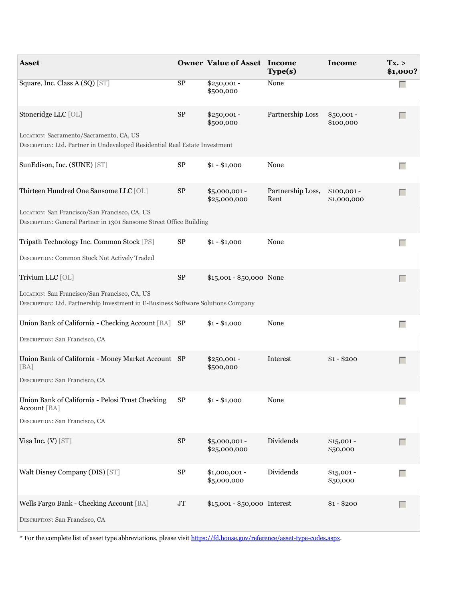| <b>Asset</b>                                                                                                                       |            | <b>Owner Value of Asset Income</b> | Type(s)                   | Income                      | Tx. ><br>\$1,000? |
|------------------------------------------------------------------------------------------------------------------------------------|------------|------------------------------------|---------------------------|-----------------------------|-------------------|
| Square, Inc. Class A (SQ) [ST]                                                                                                     | SP         | $$250,001 -$<br>\$500,000          | None                      |                             |                   |
| Stoneridge LLC [OL]                                                                                                                | ${\rm SP}$ | $$250,001 -$<br>\$500,000          | Partnership Loss          | $$50,001 -$<br>\$100,000    | Г                 |
| LOCATION: Sacramento/Sacramento, CA, US<br>DESCRIPTION: Ltd. Partner in Undeveloped Residential Real Estate Investment             |            |                                    |                           |                             |                   |
| SunEdison, Inc. (SUNE) [ST]                                                                                                        | SP         | $$1 - $1,000$                      | None                      |                             | Г                 |
| Thirteen Hundred One Sansome LLC [OL]                                                                                              | $\rm SP$   | \$5,000,001 -<br>\$25,000,000      | Partnership Loss,<br>Rent | $$100,001 -$<br>\$1,000,000 | Г                 |
| LOCATION: San Francisco/San Francisco, CA, US<br>DESCRIPTION: General Partner in 1301 Sansome Street Office Building               |            |                                    |                           |                             |                   |
| Tripath Technology Inc. Common Stock [PS]                                                                                          | ${\rm SP}$ | $$1 - $1,000$                      | None                      |                             | Г                 |
| DESCRIPTION: Common Stock Not Actively Traded                                                                                      |            |                                    |                           |                             |                   |
| Trivium LLC [OL]                                                                                                                   | ${\rm SP}$ | \$15,001 - \$50,000 None           |                           |                             | Г                 |
| LOCATION: San Francisco/San Francisco, CA, US<br>DESCRIPTION: Ltd. Partnership Investment in E-Business Software Solutions Company |            |                                    |                           |                             |                   |
| Union Bank of California - Checking Account [BA] SP                                                                                |            | $$1 - $1,000$                      | None                      |                             | П                 |
| DESCRIPTION: San Francisco, CA                                                                                                     |            |                                    |                           |                             |                   |
| Union Bank of California - Money Market Account SP<br>[BA]                                                                         |            | $$250,001 -$<br>\$500,000          | Interest                  | $$1 - $200$                 | Г                 |
| DESCRIPTION: San Francisco, CA                                                                                                     |            |                                    |                           |                             |                   |
| Union Bank of California - Pelosi Trust Checking<br>Account [BA]                                                                   | SP         | $$1 - $1,000$                      | None                      |                             | Г                 |
| DESCRIPTION: San Francisco, CA                                                                                                     |            |                                    |                           |                             |                   |
| Visa Inc. (V) [ST]                                                                                                                 | $\rm SP$   | $$5,000,001 -$<br>\$25,000,000     | Dividends                 | $$15,001 -$<br>\$50,000     | $\Box$            |
| Walt Disney Company (DIS) [ST]                                                                                                     | $\rm SP$   | $$1,000,001 -$<br>\$5,000,000      | Dividends                 | $$15,001 -$<br>\$50,000     | Г                 |
| Wells Fargo Bank - Checking Account [BA]                                                                                           | $\rm JT$   | \$15,001 - \$50,000 Interest       |                           | $$1 - $200$                 | Г                 |
| DESCRIPTION: San Francisco, CA                                                                                                     |            |                                    |                           |                             |                   |

\* For the complete list of asset type abbreviations, please visit<https://fd.house.gov/reference/asset-type-codes.aspx>.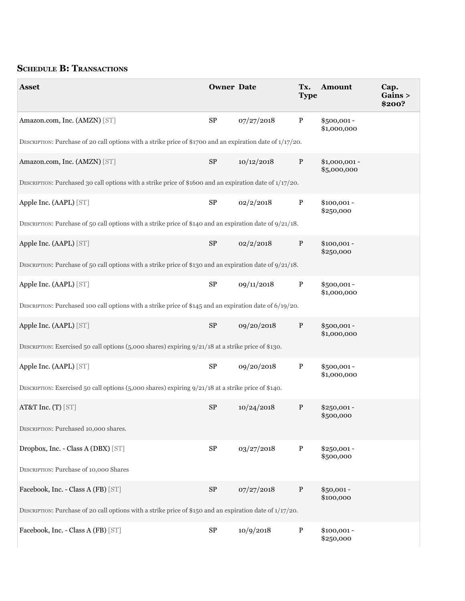# **SCHEDULE B: TRANSACTIONS**

| <b>Asset</b>                                                                                                 | <b>Owner Date</b> |            | <b>Type</b>  | Tx. Amount                    | Cap.<br>Gains ><br>\$200? |
|--------------------------------------------------------------------------------------------------------------|-------------------|------------|--------------|-------------------------------|---------------------------|
| Amazon.com, Inc. (AMZN) [ST]                                                                                 | SP                | 07/27/2018 | $\mathbf{P}$ | $$500,001 -$<br>\$1,000,000   |                           |
| DESCRIPTION: Purchase of 20 call options with a strike price of \$1700 and an expiration date of $1/17/20$ . |                   |            |              |                               |                           |
| Amazon.com, Inc. (AMZN) [ST]                                                                                 | SP                | 10/12/2018 | $\mathbf{P}$ | $$1,000,001 -$<br>\$5,000,000 |                           |
| DESCRIPTION: Purchased 30 call options with a strike price of \$1600 and an expiration date of $1/17/20$ .   |                   |            |              |                               |                           |
| Apple Inc. (AAPL) [ST]                                                                                       | ${\rm SP}$        | 02/2/2018  | $\mathbf{P}$ | $$100,001 -$<br>\$250,000     |                           |
| DESCRIPTION: Purchase of 50 call options with a strike price of \$140 and an expiration date of $9/21/18$ .  |                   |            |              |                               |                           |
| Apple Inc. (AAPL) [ST]                                                                                       | $\rm SP$          | 02/2/2018  | ${\bf P}$    | $$100,001 -$<br>\$250,000     |                           |
| DESCRIPTION: Purchase of 50 call options with a strike price of \$130 and an expiration date of $9/21/18$ .  |                   |            |              |                               |                           |
| Apple Inc. (AAPL) [ST]                                                                                       | ${\rm SP}$        | 09/11/2018 | $\mathbf{P}$ | \$500,001-<br>\$1,000,000     |                           |
| DESCRIPTION: Purchased 100 call options with a strike price of \$145 and an expiration date of 6/19/20.      |                   |            |              |                               |                           |
| Apple Inc. (AAPL) [ST]                                                                                       | ${\rm SP}$        | 09/20/2018 | $\mathbf{P}$ | $$500,001 -$<br>\$1,000,000   |                           |
| DESCRIPTION: Exercised 50 call options (5,000 shares) expiring $9/21/18$ at a strike price of \$130.         |                   |            |              |                               |                           |
| Apple Inc. (AAPL) [ST]                                                                                       | SP                | 09/20/2018 | $\mathbf{P}$ | \$500,001-<br>\$1,000,000     |                           |
| DESCRIPTION: Exercised 50 call options (5,000 shares) expiring $9/21/18$ at a strike price of \$140.         |                   |            |              |                               |                           |
| AT&T Inc. (T) [ST]                                                                                           | SP                | 10/24/2018 | $\mathbf{P}$ | $$250,001 -$<br>\$500,000     |                           |
| DESCRIPTION: Purchased 10,000 shares.                                                                        |                   |            |              |                               |                           |
| Dropbox, Inc. - Class A (DBX) [ST]                                                                           | ${\rm SP}$        | 03/27/2018 | $\mathbf{P}$ | $$250,001 -$<br>\$500,000     |                           |
| DESCRIPTION: Purchase of 10,000 Shares                                                                       |                   |            |              |                               |                           |
| Facebook, Inc. - Class A (FB) [ST]                                                                           | ${\rm SP}$        | 07/27/2018 | $\, {\bf P}$ | $$50,001 -$<br>\$100,000      |                           |
| DESCRIPTION: Purchase of 20 call options with a strike price of \$150 and an expiration date of $1/17/20$ .  |                   |            |              |                               |                           |
| Facebook, Inc. - Class A (FB) [ST]                                                                           | ${\rm SP}$        | 10/9/2018  | $\mathbf{P}$ | $$100,001 -$<br>\$250,000     |                           |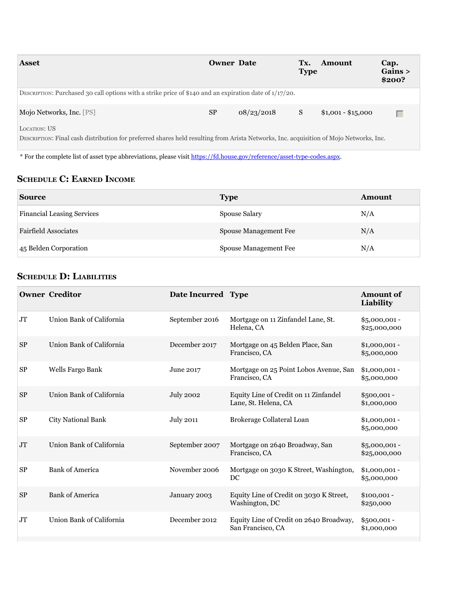| <b>Asset</b>                                                                                                                                                  | <b>Owner Date</b> |            | Tx.<br><b>Type</b> | <b>Amount</b>      | Cap.<br>Gains ><br>\$200? |
|---------------------------------------------------------------------------------------------------------------------------------------------------------------|-------------------|------------|--------------------|--------------------|---------------------------|
| DESCRIPTION: Purchased 30 call options with a strike price of \$140 and an expiration date of $1/17/20$ .                                                     |                   |            |                    |                    |                           |
| Mojo Networks, Inc. [PS]                                                                                                                                      | SP                | 08/23/2018 | S                  | $$1,001 - $15,000$ | Г                         |
| <b>LOCATION: US</b><br>DESCRIPTION: Final cash distribution for preferred shares held resulting from Arista Networks, Inc. acquisition of Mojo Networks, Inc. |                   |            |                    |                    |                           |

DESCRIPTION: Final cash distribution for preferred shares held resulting from Arista Networks, Inc. acquisition of Mojo Networks, Inc.

\* For the complete list of asset type abbreviations, please visit<https://fd.house.gov/reference/asset-type-codes.aspx>.

## **ScHeDuLe c: earneD income**

| <b>Source</b>                     | <b>Type</b>           | <b>Amount</b> |
|-----------------------------------|-----------------------|---------------|
| <b>Financial Leasing Services</b> | Spouse Salary         | N/A           |
| <b>Fairfield Associates</b>       | Spouse Management Fee | N/A           |
| 45 Belden Corporation             | Spouse Management Fee | N/A           |

## **ScHeDuLe D: LiabiLitieS**

|           | <b>Owner Creditor</b>     | Date Incurred Type |                                                               | Amount of<br>Liability          |
|-----------|---------------------------|--------------------|---------------------------------------------------------------|---------------------------------|
| <b>JT</b> | Union Bank of California  | September 2016     | Mortgage on 11 Zinfandel Lane, St.<br>Helena, CA              | $$5,000,001 -$<br>\$2,5,000,000 |
| <b>SP</b> | Union Bank of California  | December 2017      | Mortgage on 45 Belden Place, San<br>Francisco, CA             | $$1,000,001 -$<br>\$5,000,000   |
| <b>SP</b> | Wells Fargo Bank          | June 2017          | Mortgage on 25 Point Lobos Avenue, San<br>Francisco, CA       | $$1,000,001 -$<br>\$5,000,000   |
| <b>SP</b> | Union Bank of California  | <b>July 2002</b>   | Equity Line of Credit on 11 Zinfandel<br>Lane, St. Helena, CA | $$500,001 -$<br>\$1,000,000     |
| <b>SP</b> | <b>City National Bank</b> | <b>July 2011</b>   | Brokerage Collateral Loan                                     | $$1,000,001 -$<br>\$5,000,000   |
| <b>JT</b> | Union Bank of California  | September 2007     | Mortgage on 2640 Broadway, San<br>Francisco, CA               | $$5,000,001 -$<br>\$2,5,000,000 |
| <b>SP</b> | <b>Bank of America</b>    | November 2006      | Mortgage on 3030 K Street, Washington,<br>DC                  | $$1,000,001 -$<br>\$5,000,000   |
| <b>SP</b> | <b>Bank of America</b>    | January 2003       | Equity Line of Credit on 3030 K Street,<br>Washington, DC     | $$100,001 -$<br>\$250,000       |
| <b>JT</b> | Union Bank of California  | December 2012      | Equity Line of Credit on 2640 Broadway,<br>San Francisco, CA  | \$500,001 -<br>\$1,000,000      |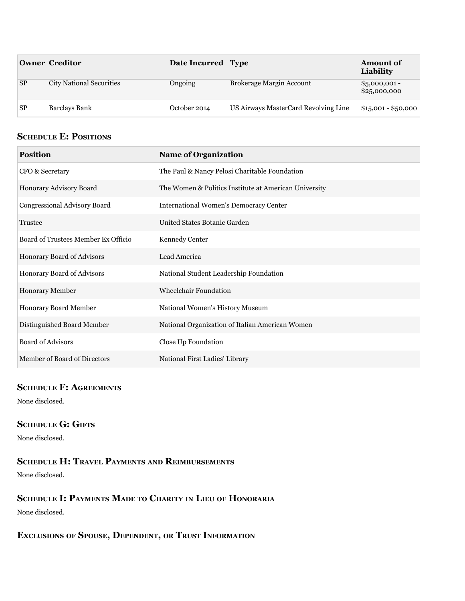|           | <b>Owner Creditor</b>           | Date Incurred Type |                                      | <b>Amount of</b><br>Liability  |
|-----------|---------------------------------|--------------------|--------------------------------------|--------------------------------|
| <b>SP</b> | <b>City National Securities</b> | Ongoing            | Brokerage Margin Account             | $$5,000,001 -$<br>\$25,000,000 |
| <b>SP</b> | Barclays Bank                   | October 2014       | US Airways MasterCard Revolving Line | $$15,001 - $50,000$            |

# **SCHEDULE E: POSITIONS**

| <b>Position</b>                     | <b>Name of Organization</b>                           |
|-------------------------------------|-------------------------------------------------------|
| CFO & Secretary                     | The Paul & Nancy Pelosi Charitable Foundation         |
| Honorary Advisory Board             | The Women & Politics Institute at American University |
| Congressional Advisory Board        | <b>International Women's Democracy Center</b>         |
| Trustee                             | United States Botanic Garden                          |
| Board of Trustees Member Ex Officio | Kennedy Center                                        |
| Honorary Board of Advisors          | Lead America                                          |
| Honorary Board of Advisors          | National Student Leadership Foundation                |
| Honorary Member                     | Wheelchair Foundation                                 |
| Honorary Board Member               | National Women's History Museum                       |
| Distinguished Board Member          | National Organization of Italian American Women       |
| <b>Board of Advisors</b>            | Close Up Foundation                                   |
| Member of Board of Directors        | National First Ladies' Library                        |

#### **ScHeDuLe f: agreementS**

None disclosed.

### **SCHEDULE G: GIFTS**

None disclosed.

## **ScHeDuLe H: traveL PaymentS anD reimburSementS**

None disclosed.

## **ScHeDuLe i: PaymentS maDe to cHarity in Lieu of Honoraria**

None disclosed.

## **excLuSionS of SPouSe, DePenDent, or truSt information**